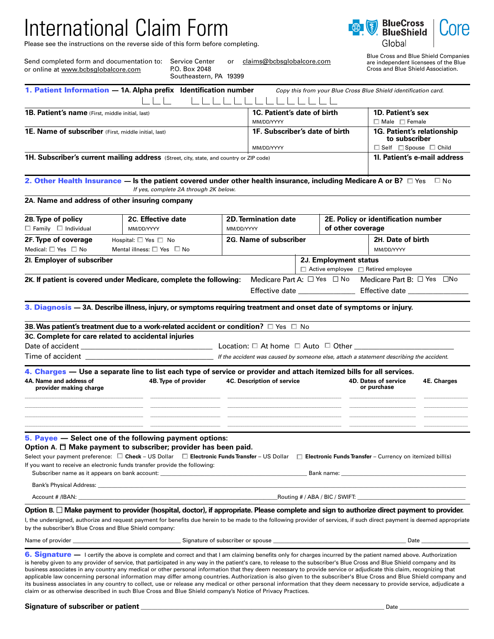# International Claim Form

Send completed form and documentation to: Service Center

or online at www.bcbsglobalcore.com

Please see the instructions on the reverse side of this form before completing.

P.O. Box 2048



Blue Cross and Blue Shield Companies are independent licensees of the Blue Cross and Blue Shield Association.

|                                                                                                                        | Southeastern, PA 19399                                                                                                                                                                                                                                                                                                                                                                                                                                                                                                                                                                                                                                                                                                                                                                                                                                           |                                                                         |                                       |  |                                                                |                                                                 |             |  |
|------------------------------------------------------------------------------------------------------------------------|------------------------------------------------------------------------------------------------------------------------------------------------------------------------------------------------------------------------------------------------------------------------------------------------------------------------------------------------------------------------------------------------------------------------------------------------------------------------------------------------------------------------------------------------------------------------------------------------------------------------------------------------------------------------------------------------------------------------------------------------------------------------------------------------------------------------------------------------------------------|-------------------------------------------------------------------------|---------------------------------------|--|----------------------------------------------------------------|-----------------------------------------------------------------|-------------|--|
|                                                                                                                        | 1. Patient Information - 1A. Alpha prefix Identification number                                                                                                                                                                                                                                                                                                                                                                                                                                                                                                                                                                                                                                                                                                                                                                                                  |                                                                         |                                       |  |                                                                | Copy this from your Blue Cross Blue Shield identification card. |             |  |
| 1B. Patient's name (First, middle initial, last)                                                                       |                                                                                                                                                                                                                                                                                                                                                                                                                                                                                                                                                                                                                                                                                                                                                                                                                                                                  |                                                                         | 1C. Patient's date of birth           |  |                                                                | 1D. Patient's sex                                               |             |  |
| <b>1E. Name of subscriber</b> (First, middle initial, last)                                                            |                                                                                                                                                                                                                                                                                                                                                                                                                                                                                                                                                                                                                                                                                                                                                                                                                                                                  | MM/DD/YYYY<br>1F. Subscriber's date of birth                            |                                       |  | $\Box$ Male $\Box$ Female<br><b>1G. Patient's relationship</b> |                                                                 |             |  |
|                                                                                                                        |                                                                                                                                                                                                                                                                                                                                                                                                                                                                                                                                                                                                                                                                                                                                                                                                                                                                  |                                                                         | MM/DD/YYYY                            |  |                                                                | to subscriber<br>$\Box$ Self $\Box$ Spouse $\Box$ Child         |             |  |
| 1H. Subscriber's current mailing address (Street, city, state, and country or ZIP code)                                |                                                                                                                                                                                                                                                                                                                                                                                                                                                                                                                                                                                                                                                                                                                                                                                                                                                                  |                                                                         |                                       |  |                                                                | 11. Patient's e-mail address                                    |             |  |
|                                                                                                                        | 2. Other Health Insurance — Is the patient covered under other health insurance, including Medicare A or B? $\Box$ Yes<br>If yes, complete 2A through 2K below.                                                                                                                                                                                                                                                                                                                                                                                                                                                                                                                                                                                                                                                                                                  |                                                                         |                                       |  |                                                                |                                                                 | ⊟ No        |  |
| 2A. Name and address of other insuring company                                                                         |                                                                                                                                                                                                                                                                                                                                                                                                                                                                                                                                                                                                                                                                                                                                                                                                                                                                  |                                                                         |                                       |  |                                                                |                                                                 |             |  |
| 2B. Type of policy                                                                                                     | 2C. Effective date                                                                                                                                                                                                                                                                                                                                                                                                                                                                                                                                                                                                                                                                                                                                                                                                                                               |                                                                         | <b>2D. Termination date</b>           |  |                                                                | 2E. Policy or identification number                             |             |  |
| $\Box$ Family $\Box$ Individual                                                                                        | MM/DD/YYYY                                                                                                                                                                                                                                                                                                                                                                                                                                                                                                                                                                                                                                                                                                                                                                                                                                                       | MM/DD/YYYY                                                              | of other coverage                     |  |                                                                |                                                                 |             |  |
| 2F. Type of coverage                                                                                                   | Hospital: $\square$ Yes $\square$ No                                                                                                                                                                                                                                                                                                                                                                                                                                                                                                                                                                                                                                                                                                                                                                                                                             |                                                                         | 2G. Name of subscriber                |  |                                                                | 2H. Date of birth                                               |             |  |
| Medical: $\square$ Yes $\square$ No                                                                                    | Mental illness: $\square$ Yes $\square$ No                                                                                                                                                                                                                                                                                                                                                                                                                                                                                                                                                                                                                                                                                                                                                                                                                       |                                                                         |                                       |  |                                                                | MM/DD/YYYY                                                      |             |  |
| 21. Employer of subscriber                                                                                             |                                                                                                                                                                                                                                                                                                                                                                                                                                                                                                                                                                                                                                                                                                                                                                                                                                                                  | 2J. Employment status<br>$\Box$ Active employee $\Box$ Retired employee |                                       |  |                                                                |                                                                 |             |  |
|                                                                                                                        | 2K. If patient is covered under Medicare, complete the following:                                                                                                                                                                                                                                                                                                                                                                                                                                                                                                                                                                                                                                                                                                                                                                                                |                                                                         | Medicare Part A: $\Box$ Yes $\Box$ No |  |                                                                | Medicare Part B: □ Yes □No                                      |             |  |
|                                                                                                                        | 3. Diagnosis - 3A. Describe illness, injury, or symptoms requiring treatment and onset date of symptoms or injury.                                                                                                                                                                                                                                                                                                                                                                                                                                                                                                                                                                                                                                                                                                                                               |                                                                         |                                       |  |                                                                |                                                                 |             |  |
|                                                                                                                        | 3B. Was patient's treatment due to a work-related accident or condition? $\square$ Yes $\square$ No                                                                                                                                                                                                                                                                                                                                                                                                                                                                                                                                                                                                                                                                                                                                                              |                                                                         |                                       |  |                                                                |                                                                 |             |  |
| 3C. Complete for care related to accidental injuries                                                                   |                                                                                                                                                                                                                                                                                                                                                                                                                                                                                                                                                                                                                                                                                                                                                                                                                                                                  |                                                                         |                                       |  |                                                                |                                                                 |             |  |
|                                                                                                                        |                                                                                                                                                                                                                                                                                                                                                                                                                                                                                                                                                                                                                                                                                                                                                                                                                                                                  |                                                                         |                                       |  |                                                                | Location: $\Box$ At home $\Box$ Auto $\Box$ Other               |             |  |
|                                                                                                                        |                                                                                                                                                                                                                                                                                                                                                                                                                                                                                                                                                                                                                                                                                                                                                                                                                                                                  |                                                                         |                                       |  |                                                                |                                                                 |             |  |
|                                                                                                                        | 4. Charges — Use a separate line to list each type of service or provider and attach itemized bills for all services.                                                                                                                                                                                                                                                                                                                                                                                                                                                                                                                                                                                                                                                                                                                                            |                                                                         |                                       |  |                                                                |                                                                 |             |  |
| 4A. Name and address of<br>provider making charge                                                                      | 4B. Type of provider                                                                                                                                                                                                                                                                                                                                                                                                                                                                                                                                                                                                                                                                                                                                                                                                                                             | <b>4C. Description of service</b>                                       |                                       |  |                                                                | <b>4D. Dates of service</b><br>or purchase                      | 4E. Charges |  |
|                                                                                                                        |                                                                                                                                                                                                                                                                                                                                                                                                                                                                                                                                                                                                                                                                                                                                                                                                                                                                  |                                                                         |                                       |  |                                                                |                                                                 |             |  |
|                                                                                                                        | <b>5. Payee</b> — Select one of the following payment options:<br>Option A. $\Box$ Make payment to subscriber; provider has been paid.<br>Select your payment preference: □ Check - US Dollar □ Electronic Funds Transfer - US Dollar □ Electronic Funds Transfer - Currency on itemized bill(s)<br>If you want to receive an electronic funds transfer provide the following:                                                                                                                                                                                                                                                                                                                                                                                                                                                                                   |                                                                         |                                       |  |                                                                |                                                                 |             |  |
|                                                                                                                        |                                                                                                                                                                                                                                                                                                                                                                                                                                                                                                                                                                                                                                                                                                                                                                                                                                                                  |                                                                         |                                       |  |                                                                |                                                                 |             |  |
|                                                                                                                        |                                                                                                                                                                                                                                                                                                                                                                                                                                                                                                                                                                                                                                                                                                                                                                                                                                                                  |                                                                         |                                       |  |                                                                |                                                                 |             |  |
|                                                                                                                        | Option B. □ Make payment to provider (hospital, doctor), if appropriate. Please complete and sign to authorize direct payment to provider.                                                                                                                                                                                                                                                                                                                                                                                                                                                                                                                                                                                                                                                                                                                       |                                                                         |                                       |  |                                                                |                                                                 |             |  |
| by the subscriber's Blue Cross and Blue Shield company:                                                                | l, the undersigned, authorize and request payment for benefits due herein to be made to the following provider of services, if such direct payment is deemed appropriate                                                                                                                                                                                                                                                                                                                                                                                                                                                                                                                                                                                                                                                                                         |                                                                         |                                       |  |                                                                |                                                                 |             |  |
| Name of provider example and the set of subscriber of subscriber or spouse example and the set of subscriber or spouse |                                                                                                                                                                                                                                                                                                                                                                                                                                                                                                                                                                                                                                                                                                                                                                                                                                                                  |                                                                         |                                       |  |                                                                |                                                                 |             |  |
|                                                                                                                        | 6. Signature - I certify the above is complete and correct and that I am claiming benefits only for charges incurred by the patient named above. Authorization<br>is hereby given to any provider of service, that participated in any way in the patient's care, to release to the subscriber's Blue Cross and Blue Shield company and its<br>business associates in any country any medical or other personal information that they deem necessary to provide service or adjudicate this claim, recognizing that<br>applicable law concerning personal information may differ among countries. Authorization is also given to the subscriber's Blue Cross and Blue Shield company and<br>its business associates in any country to collect, use or release any medical or other personal information that they deem necessary to provide service, adjudicate a |                                                                         |                                       |  |                                                                |                                                                 |             |  |

or [claims@bcbsglobalcore.com](mailto:ihc%40mondialusa.com?subject=)

claim or as otherwise described in such Blue Cross and Blue Shield company's Notice of Privacy Practices.